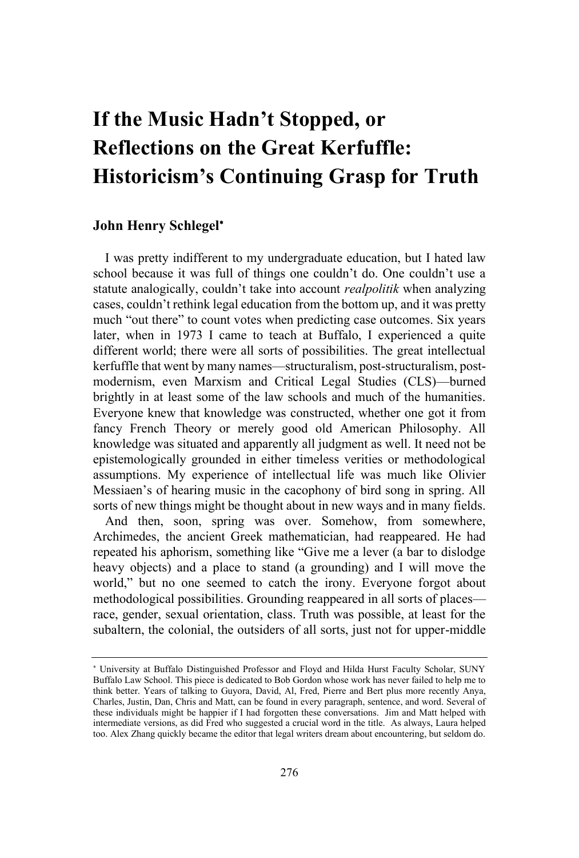# **If the Music Hadn't Stopped, or Reflections on the Great Kerfuffle: Historicism's Continuing Grasp for Truth**

## **John Henry Schlegel**

I was pretty indifferent to my undergraduate education, but I hated law school because it was full of things one couldn't do. One couldn't use a statute analogically, couldn't take into account *realpolitik* when analyzing cases, couldn't rethink legal education from the bottom up, and it was pretty much "out there" to count votes when predicting case outcomes. Six years later, when in 1973 I came to teach at Buffalo, I experienced a quite different world; there were all sorts of possibilities. The great intellectual kerfuffle that went by many names—structuralism, post-structuralism, postmodernism, even Marxism and Critical Legal Studies (CLS)—burned brightly in at least some of the law schools and much of the humanities. Everyone knew that knowledge was constructed, whether one got it from fancy French Theory or merely good old American Philosophy. All knowledge was situated and apparently all judgment as well. It need not be epistemologically grounded in either timeless verities or methodological assumptions. My experience of intellectual life was much like Olivier Messiaen's of hearing music in the cacophony of bird song in spring. All sorts of new things might be thought about in new ways and in many fields.

And then, soon, spring was over. Somehow, from somewhere, Archimedes, the ancient Greek mathematician, had reappeared. He had repeated his aphorism, something like "Give me a lever (a bar to dislodge heavy objects) and a place to stand (a grounding) and I will move the world," but no one seemed to catch the irony. Everyone forgot about methodological possibilities. Grounding reappeared in all sorts of places race, gender, sexual orientation, class. Truth was possible, at least for the subaltern, the colonial, the outsiders of all sorts, just not for upper-middle

 University at Buffalo Distinguished Professor and Floyd and Hilda Hurst Faculty Scholar, SUNY Buffalo Law School. This piece is dedicated to Bob Gordon whose work has never failed to help me to think better. Years of talking to Guyora, David, Al, Fred, Pierre and Bert plus more recently Anya, Charles, Justin, Dan, Chris and Matt, can be found in every paragraph, sentence, and word. Several of these individuals might be happier if I had forgotten these conversations. Jim and Matt helped with intermediate versions, as did Fred who suggested a crucial word in the title. As always, Laura helped too. Alex Zhang quickly became the editor that legal writers dream about encountering, but seldom do.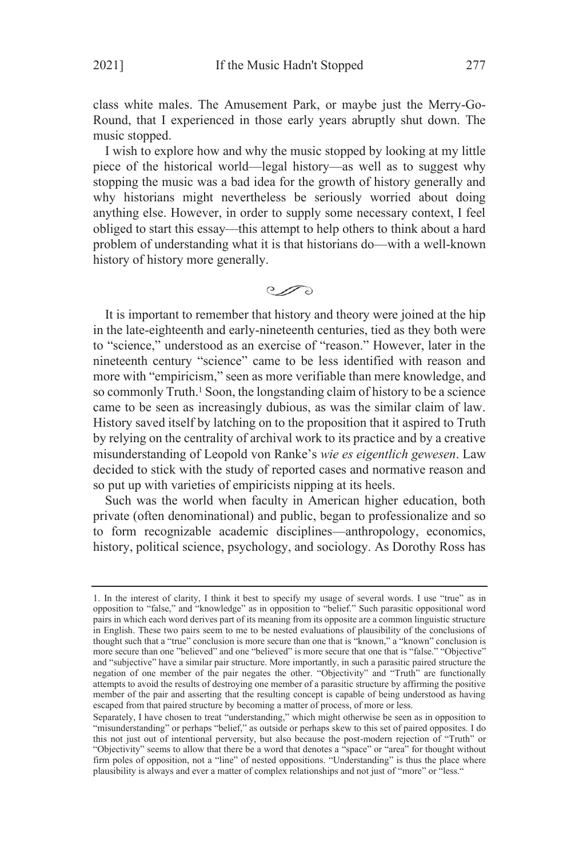class white males. The Amusement Park, or maybe just the Merry-Go-Round, that I experienced in those early years abruptly shut down. The music stopped.

I wish to explore how and why the music stopped by looking at my little piece of the historical world—legal history—as well as to suggest why stopping the music was a bad idea for the growth of history generally and why historians might nevertheless be seriously worried about doing anything else. However, in order to supply some necessary context, I feel obliged to start this essay—this attempt to help others to think about a hard problem of understanding what it is that historians do—with a well-known history of history more generally.

 $\mathcal{O}$ 

It is important to remember that history and theory were joined at the hip in the late-eighteenth and early-nineteenth centuries, tied as they both were to "science," understood as an exercise of "reason." However, later in the nineteenth century "science" came to be less identified with reason and more with "empiricism," seen as more verifiable than mere knowledge, and so commonly Truth. <sup>1</sup> Soon, the longstanding claim of history to be a science came to be seen as increasingly dubious, as was the similar claim of law. History saved itself by latching on to the proposition that it aspired to Truth by relying on the centrality of archival work to its practice and by a creative misunderstanding of Leopold von Ranke's *wie es eigentlich gewesen*. Law decided to stick with the study of reported cases and normative reason and so put up with varieties of empiricists nipping at its heels.

Such was the world when faculty in American higher education, both private (often denominational) and public, began to professionalize and so to form recognizable academic disciplines—anthropology, economics, history, political science, psychology, and sociology. As Dorothy Ross has

<sup>1.</sup> In the interest of clarity, I think it best to specify my usage of several words. I use "true" as in opposition to "false," and "knowledge" as in opposition to "belief." Such parasitic oppositional word pairs in which each word derives part of its meaning from its opposite are a common linguistic structure in English. These two pairs seem to me to be nested evaluations of plausibility of the conclusions of thought such that a "true" conclusion is more secure than one that is "known," a "known" conclusion is more secure than one "believed" and one "believed" is more secure that one that is "false." "Objective" and "subjective" have a similar pair structure. More importantly, in such a parasitic paired structure the negation of one member of the pair negates the other. "Objectivity" and "Truth" are functionally attempts to avoid the results of destroying one member of a parasitic structure by affirming the positive member of the pair and asserting that the resulting concept is capable of being understood as having escaped from that paired structure by becoming a matter of process, of more or less.

Separately, I have chosen to treat "understanding," which might otherwise be seen as in opposition to "misunderstanding" or perhaps "belief," as outside or perhaps skew to this set of paired opposites. I do this not just out of intentional perversity, but also because the post-modern rejection of "Truth" or "Objectivity" seems to allow that there be a word that denotes a "space" or "area" for thought without firm poles of opposition, not a "line" of nested oppositions. "Understanding" is thus the place where plausibility is always and ever a matter of complex relationships and not just of "more" or "less."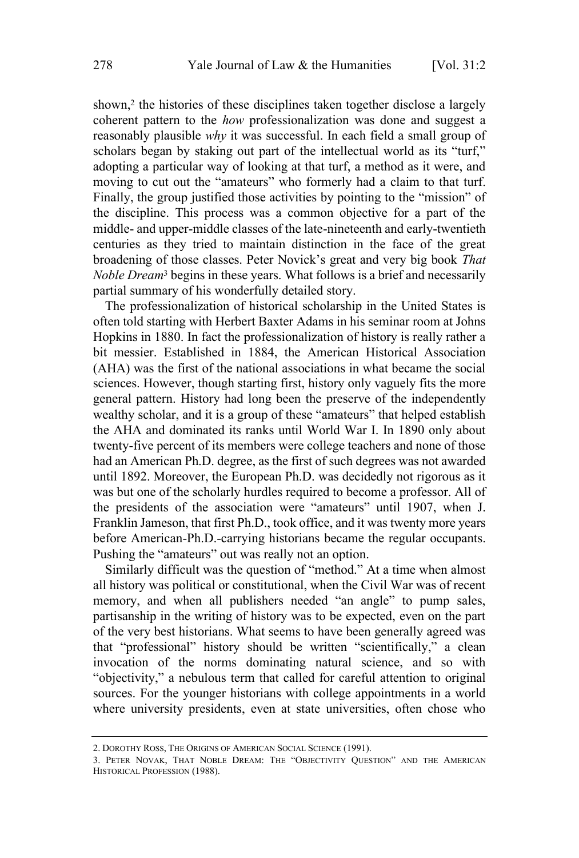shown.<sup>2</sup> the histories of these disciplines taken together disclose a largely coherent pattern to the *how* professionalization was done and suggest a reasonably plausible *why* it was successful. In each field a small group of scholars began by staking out part of the intellectual world as its "turf," adopting a particular way of looking at that turf, a method as it were, and moving to cut out the "amateurs" who formerly had a claim to that turf. Finally, the group justified those activities by pointing to the "mission" of the discipline. This process was a common objective for a part of the middle- and upper-middle classes of the late-nineteenth and early-twentieth centuries as they tried to maintain distinction in the face of the great broadening of those classes. Peter Novick's great and very big book *That Noble Dream*<sup>3</sup> begins in these years. What follows is a brief and necessarily partial summary of his wonderfully detailed story.

The professionalization of historical scholarship in the United States is often told starting with Herbert Baxter Adams in his seminar room at Johns Hopkins in 1880. In fact the professionalization of history is really rather a bit messier. Established in 1884, the American Historical Association (AHA) was the first of the national associations in what became the social sciences. However, though starting first, history only vaguely fits the more general pattern. History had long been the preserve of the independently wealthy scholar, and it is a group of these "amateurs" that helped establish the AHA and dominated its ranks until World War I. In 1890 only about twenty-five percent of its members were college teachers and none of those had an American Ph.D. degree, as the first of such degrees was not awarded until 1892. Moreover, the European Ph.D. was decidedly not rigorous as it was but one of the scholarly hurdles required to become a professor. All of the presidents of the association were "amateurs" until 1907, when J. Franklin Jameson, that first Ph.D., took office, and it was twenty more years before American-Ph.D.-carrying historians became the regular occupants. Pushing the "amateurs" out was really not an option.

Similarly difficult was the question of "method." At a time when almost all history was political or constitutional, when the Civil War was of recent memory, and when all publishers needed "an angle" to pump sales, partisanship in the writing of history was to be expected, even on the part of the very best historians. What seems to have been generally agreed was that "professional" history should be written "scientifically," a clean invocation of the norms dominating natural science, and so with "objectivity," a nebulous term that called for careful attention to original sources. For the younger historians with college appointments in a world where university presidents, even at state universities, often chose who

<sup>2.</sup> DOROTHY ROSS, THE ORIGINS OF AMERICAN SOCIAL SCIENCE (1991).

<sup>3.</sup> PETER NOVAK, THAT NOBLE DREAM: THE "OBJECTIVITY QUESTION" AND THE AMERICAN HISTORICAL PROFESSION (1988).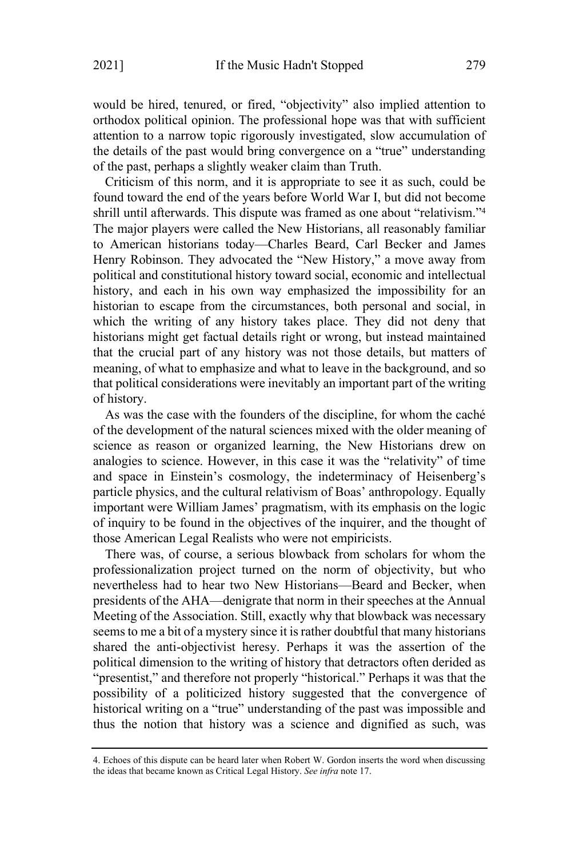would be hired, tenured, or fired, "objectivity" also implied attention to orthodox political opinion. The professional hope was that with sufficient attention to a narrow topic rigorously investigated, slow accumulation of the details of the past would bring convergence on a "true" understanding of the past, perhaps a slightly weaker claim than Truth.

Criticism of this norm, and it is appropriate to see it as such, could be found toward the end of the years before World War I, but did not become shrill until afterwards. This dispute was framed as one about "relativism."<sup>4</sup> The major players were called the New Historians, all reasonably familiar to American historians today—Charles Beard, Carl Becker and James Henry Robinson. They advocated the "New History," a move away from political and constitutional history toward social, economic and intellectual history, and each in his own way emphasized the impossibility for an historian to escape from the circumstances, both personal and social, in which the writing of any history takes place. They did not deny that historians might get factual details right or wrong, but instead maintained that the crucial part of any history was not those details, but matters of meaning, of what to emphasize and what to leave in the background, and so that political considerations were inevitably an important part of the writing of history.

As was the case with the founders of the discipline, for whom the caché of the development of the natural sciences mixed with the older meaning of science as reason or organized learning, the New Historians drew on analogies to science. However, in this case it was the "relativity" of time and space in Einstein's cosmology, the indeterminacy of Heisenberg's particle physics, and the cultural relativism of Boas' anthropology. Equally important were William James' pragmatism, with its emphasis on the logic of inquiry to be found in the objectives of the inquirer, and the thought of those American Legal Realists who were not empiricists.

There was, of course, a serious blowback from scholars for whom the professionalization project turned on the norm of objectivity, but who nevertheless had to hear two New Historians—Beard and Becker, when presidents of the AHA—denigrate that norm in their speeches at the Annual Meeting of the Association. Still, exactly why that blowback was necessary seems to me a bit of a mystery since it is rather doubtful that many historians shared the anti-objectivist heresy. Perhaps it was the assertion of the political dimension to the writing of history that detractors often derided as "presentist," and therefore not properly "historical." Perhaps it was that the possibility of a politicized history suggested that the convergence of historical writing on a "true" understanding of the past was impossible and thus the notion that history was a science and dignified as such, was

<sup>4.</sup> Echoes of this dispute can be heard later when Robert W. Gordon inserts the word when discussing the ideas that became known as Critical Legal History. *See infra* note 17.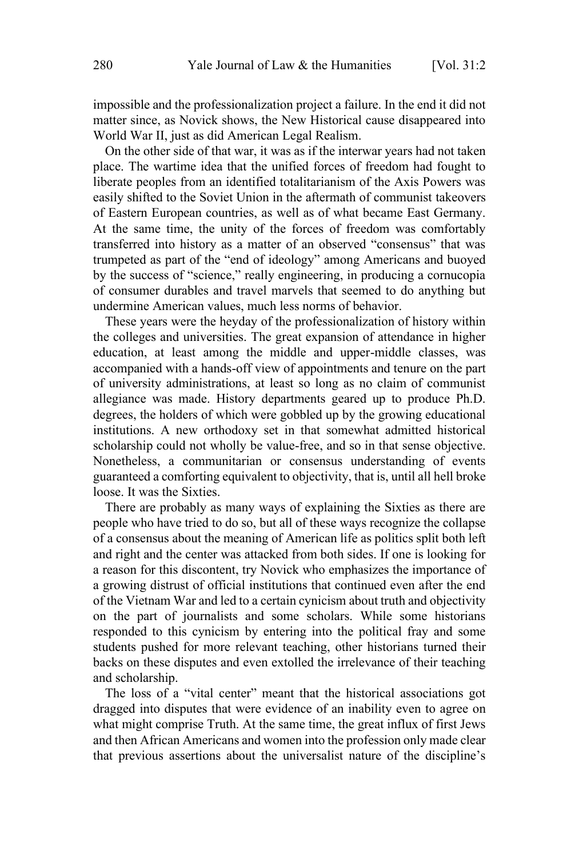impossible and the professionalization project a failure. In the end it did not matter since, as Novick shows, the New Historical cause disappeared into World War II, just as did American Legal Realism.

On the other side of that war, it was as if the interwar years had not taken place. The wartime idea that the unified forces of freedom had fought to liberate peoples from an identified totalitarianism of the Axis Powers was easily shifted to the Soviet Union in the aftermath of communist takeovers of Eastern European countries, as well as of what became East Germany. At the same time, the unity of the forces of freedom was comfortably transferred into history as a matter of an observed "consensus" that was trumpeted as part of the "end of ideology" among Americans and buoyed by the success of "science," really engineering, in producing a cornucopia of consumer durables and travel marvels that seemed to do anything but undermine American values, much less norms of behavior.

These years were the heyday of the professionalization of history within the colleges and universities. The great expansion of attendance in higher education, at least among the middle and upper-middle classes, was accompanied with a hands-off view of appointments and tenure on the part of university administrations, at least so long as no claim of communist allegiance was made. History departments geared up to produce Ph.D. degrees, the holders of which were gobbled up by the growing educational institutions. A new orthodoxy set in that somewhat admitted historical scholarship could not wholly be value-free, and so in that sense objective. Nonetheless, a communitarian or consensus understanding of events guaranteed a comforting equivalent to objectivity, that is, until all hell broke loose. It was the Sixties.

There are probably as many ways of explaining the Sixties as there are people who have tried to do so, but all of these ways recognize the collapse of a consensus about the meaning of American life as politics split both left and right and the center was attacked from both sides. If one is looking for a reason for this discontent, try Novick who emphasizes the importance of a growing distrust of official institutions that continued even after the end of the Vietnam War and led to a certain cynicism about truth and objectivity on the part of journalists and some scholars. While some historians responded to this cynicism by entering into the political fray and some students pushed for more relevant teaching, other historians turned their backs on these disputes and even extolled the irrelevance of their teaching and scholarship.

The loss of a "vital center" meant that the historical associations got dragged into disputes that were evidence of an inability even to agree on what might comprise Truth. At the same time, the great influx of first Jews and then African Americans and women into the profession only made clear that previous assertions about the universalist nature of the discipline's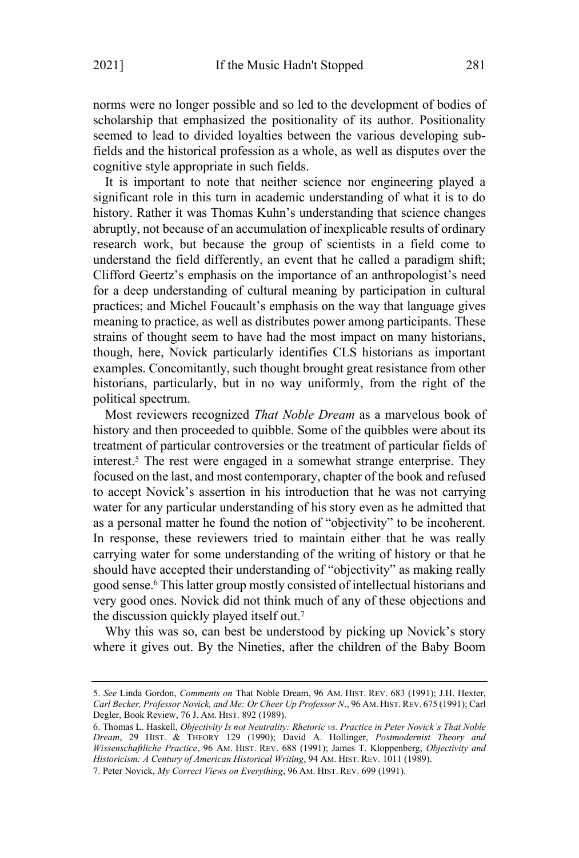norms were no longer possible and so led to the development of bodies of scholarship that emphasized the positionality of its author. Positionality seemed to lead to divided loyalties between the various developing subfields and the historical profession as a whole, as well as disputes over the cognitive style appropriate in such fields.

It is important to note that neither science nor engineering played a significant role in this turn in academic understanding of what it is to do history. Rather it was Thomas Kuhn's understanding that science changes abruptly, not because of an accumulation of inexplicable results of ordinary research work, but because the group of scientists in a field come to understand the field differently, an event that he called a paradigm shift; Clifford Geertz's emphasis on the importance of an anthropologist's need for a deep understanding of cultural meaning by participation in cultural practices; and Michel Foucault's emphasis on the way that language gives meaning to practice, as well as distributes power among participants. These strains of thought seem to have had the most impact on many historians, though, here, Novick particularly identifies CLS historians as important examples. Concomitantly, such thought brought great resistance from other historians, particularly, but in no way uniformly, from the right of the political spectrum.

Most reviewers recognized *That Noble Dream* as a marvelous book of history and then proceeded to quibble. Some of the quibbles were about its treatment of particular controversies or the treatment of particular fields of interest. <sup>5</sup> The rest were engaged in a somewhat strange enterprise. They focused on the last, and most contemporary, chapter of the book and refused to accept Novick's assertion in his introduction that he was not carrying water for any particular understanding of his story even as he admitted that as a personal matter he found the notion of "objectivity" to be incoherent. In response, these reviewers tried to maintain either that he was really carrying water for some understanding of the writing of history or that he should have accepted their understanding of "objectivity" as making really good sense.<sup>6</sup> This latter group mostly consisted of intellectual historians and very good ones. Novick did not think much of any of these objections and the discussion quickly played itself out.<sup>7</sup>

Why this was so, can best be understood by picking up Novick's story where it gives out. By the Nineties, after the children of the Baby Boom

<sup>5.</sup> *See* Linda Gordon, *Comments on* That Noble Dream, 96 AM. HIST. REV. 683 (1991); J.H. Hexter, *Carl Becker, Professor Novick, and Me: Or Cheer Up Professor N*., 96 AM. HIST. REV. 675 (1991); Carl Degler, Book Review, 76 J. AM. HIST. 892 (1989).

<sup>6.</sup> Thomas L. Haskell, *Objectivity Is not Neutrality: Rhetoric vs. Practice in Peter Novick's That Noble Dream*, 29 HIST. & THEORY 129 (1990); David A. Hollinger, *Postmodernist Theory and Wissenschaftliche Practice*, 96 AM. HIST. REV. 688 (1991); James T. Kloppenberg, *Objectivity and Historicism: A Century of American Historical Writing*, 94 AM. HIST. REV. 1011 (1989).

<sup>7.</sup> Peter Novick, *My Correct Views on Everything*, 96 AM. HIST. REV. 699 (1991).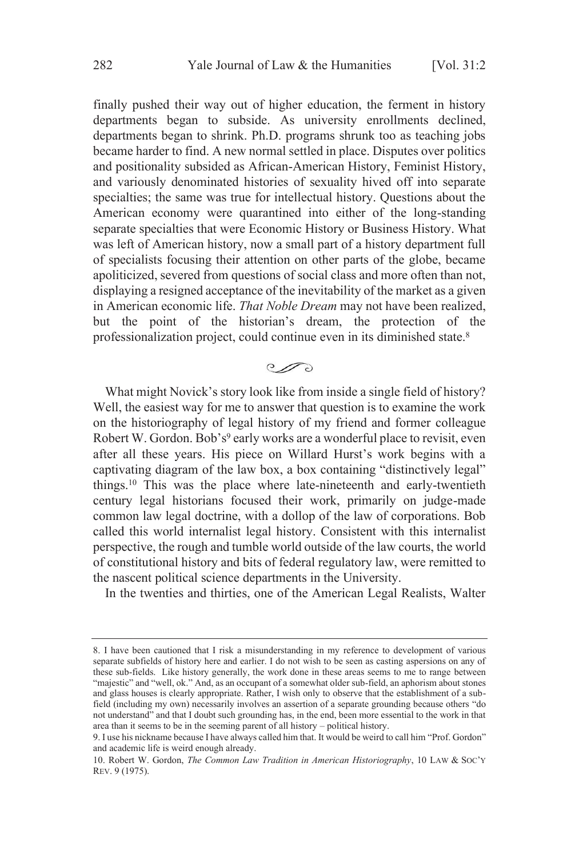finally pushed their way out of higher education, the ferment in history departments began to subside. As university enrollments declined, departments began to shrink. Ph.D. programs shrunk too as teaching jobs became harder to find. A new normal settled in place. Disputes over politics and positionality subsided as African-American History, Feminist History, and variously denominated histories of sexuality hived off into separate specialties; the same was true for intellectual history. Questions about the American economy were quarantined into either of the long-standing separate specialties that were Economic History or Business History. What was left of American history, now a small part of a history department full of specialists focusing their attention on other parts of the globe, became apoliticized, severed from questions of social class and more often than not, displaying a resigned acceptance of the inevitability of the market as a given in American economic life. *That Noble Dream* may not have been realized, but the point of the historian's dream, the protection of the professionalization project, could continue even in its diminished state.<sup>8</sup>

## $\mathcal{O}$

What might Novick's story look like from inside a single field of history? Well, the easiest way for me to answer that question is to examine the work on the historiography of legal history of my friend and former colleague Robert W. Gordon. Bob's<sup>9</sup> early works are a wonderful place to revisit, even after all these years. His piece on Willard Hurst's work begins with a captivating diagram of the law box, a box containing "distinctively legal" things.<sup>10</sup> This was the place where late-nineteenth and early-twentieth century legal historians focused their work, primarily on judge-made common law legal doctrine, with a dollop of the law of corporations. Bob called this world internalist legal history. Consistent with this internalist perspective, the rough and tumble world outside of the law courts, the world of constitutional history and bits of federal regulatory law, were remitted to the nascent political science departments in the University.

In the twenties and thirties, one of the American Legal Realists, Walter

<sup>8.</sup> I have been cautioned that I risk a misunderstanding in my reference to development of various separate subfields of history here and earlier. I do not wish to be seen as casting aspersions on any of these sub-fields. Like history generally, the work done in these areas seems to me to range between "majestic" and "well, ok." And, as an occupant of a somewhat older sub-field, an aphorism about stones and glass houses is clearly appropriate. Rather, I wish only to observe that the establishment of a subfield (including my own) necessarily involves an assertion of a separate grounding because others "do not understand" and that I doubt such grounding has, in the end, been more essential to the work in that area than it seems to be in the seeming parent of all history – political history.

<sup>9.</sup> I use his nickname because I have always called him that. It would be weird to call him "Prof. Gordon" and academic life is weird enough already.

<sup>10.</sup> Robert W. Gordon, *The Common Law Tradition in American Historiography*, 10 LAW & SOC'<sup>Y</sup> REV. 9 (1975).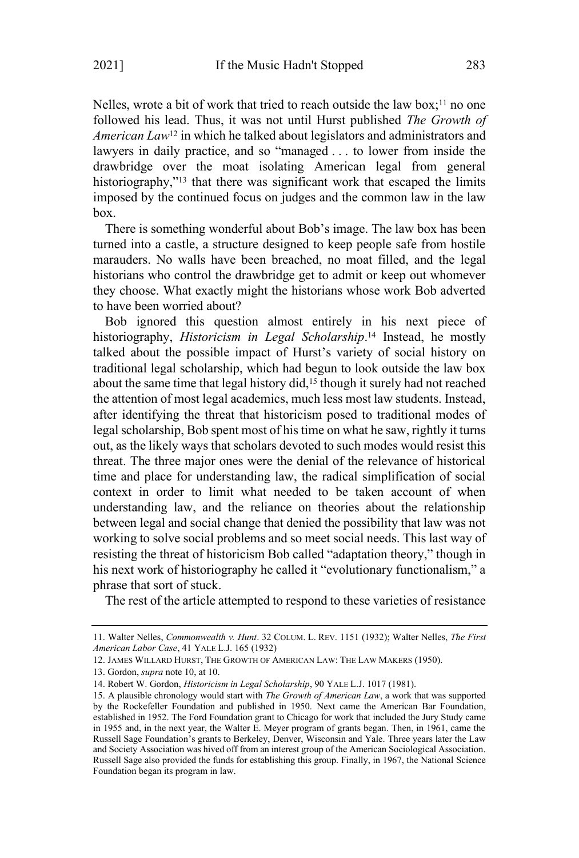Nelles, wrote a bit of work that tried to reach outside the law box;<sup>11</sup> no one followed his lead. Thus, it was not until Hurst published *The Growth of American Law*<sup>12</sup> in which he talked about legislators and administrators and lawyers in daily practice, and so "managed . . . to lower from inside the drawbridge over the moat isolating American legal from general historiography,<sup>"13</sup> that there was significant work that escaped the limits imposed by the continued focus on judges and the common law in the law box.

There is something wonderful about Bob's image. The law box has been turned into a castle, a structure designed to keep people safe from hostile marauders. No walls have been breached, no moat filled, and the legal historians who control the drawbridge get to admit or keep out whomever they choose. What exactly might the historians whose work Bob adverted to have been worried about?

Bob ignored this question almost entirely in his next piece of historiography, *Historicism in Legal Scholarship*. <sup>14</sup> Instead, he mostly talked about the possible impact of Hurst's variety of social history on traditional legal scholarship, which had begun to look outside the law box about the same time that legal history did,<sup>15</sup> though it surely had not reached the attention of most legal academics, much less most law students. Instead, after identifying the threat that historicism posed to traditional modes of legal scholarship, Bob spent most of his time on what he saw, rightly it turns out, as the likely ways that scholars devoted to such modes would resist this threat. The three major ones were the denial of the relevance of historical time and place for understanding law, the radical simplification of social context in order to limit what needed to be taken account of when understanding law, and the reliance on theories about the relationship between legal and social change that denied the possibility that law was not working to solve social problems and so meet social needs. This last way of resisting the threat of historicism Bob called "adaptation theory," though in his next work of historiography he called it "evolutionary functionalism," a phrase that sort of stuck.

The rest of the article attempted to respond to these varieties of resistance

<sup>11.</sup> Walter Nelles, *Commonwealth v. Hunt*. 32 COLUM. L. REV. 1151 (1932); Walter Nelles, *The First American Labor Case*, 41 YALE L.J. 165 (1932)

<sup>12.</sup> JAMES WILLARD HURST, THE GROWTH OF AMERICAN LAW: THE LAW MAKERS (1950).

<sup>13.</sup> Gordon, *supra* note 10, at 10.

<sup>14.</sup> Robert W. Gordon, *Historicism in Legal Scholarship*, 90 YALE L.J. 1017 (1981).

<sup>15.</sup> A plausible chronology would start with *The Growth of American Law*, a work that was supported by the Rockefeller Foundation and published in 1950. Next came the American Bar Foundation, established in 1952. The Ford Foundation grant to Chicago for work that included the Jury Study came in 1955 and, in the next year, the Walter E. Meyer program of grants began. Then, in 1961, came the Russell Sage Foundation's grants to Berkeley, Denver, Wisconsin and Yale. Three years later the Law and Society Association was hived off from an interest group of the American Sociological Association. Russell Sage also provided the funds for establishing this group. Finally, in 1967, the National Science Foundation began its program in law.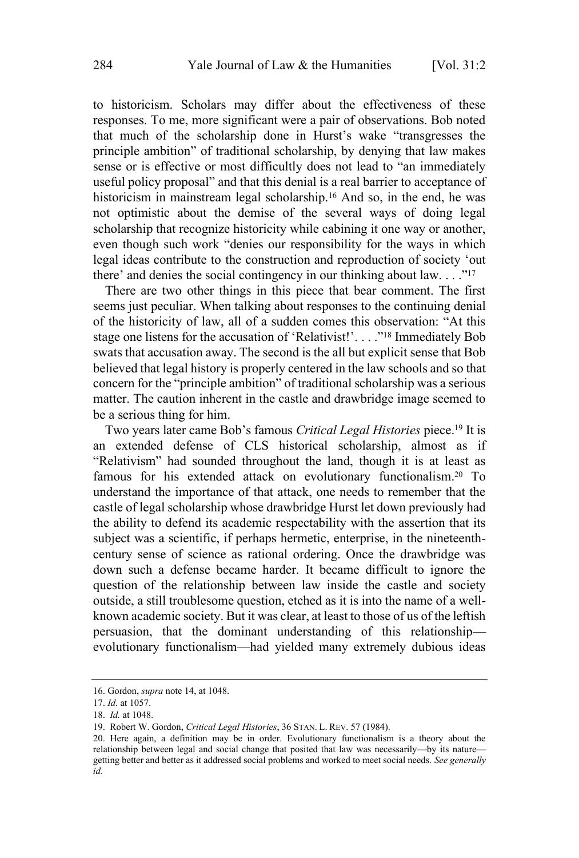to historicism. Scholars may differ about the effectiveness of these responses. To me, more significant were a pair of observations. Bob noted that much of the scholarship done in Hurst's wake "transgresses the principle ambition" of traditional scholarship, by denying that law makes sense or is effective or most difficultly does not lead to "an immediately useful policy proposal" and that this denial is a real barrier to acceptance of historicism in mainstream legal scholarship.<sup>16</sup> And so, in the end, he was not optimistic about the demise of the several ways of doing legal scholarship that recognize historicity while cabining it one way or another, even though such work "denies our responsibility for the ways in which legal ideas contribute to the construction and reproduction of society 'out there' and denies the social contingency in our thinking about law.  $\dots$ <sup>"17</sup>

There are two other things in this piece that bear comment. The first seems just peculiar. When talking about responses to the continuing denial of the historicity of law, all of a sudden comes this observation: "At this stage one listens for the accusation of 'Relativist!'. . . ."<sup>18</sup> Immediately Bob swats that accusation away. The second is the all but explicit sense that Bob believed that legal history is properly centered in the law schools and so that concern for the "principle ambition" of traditional scholarship was a serious matter. The caution inherent in the castle and drawbridge image seemed to be a serious thing for him.

Two years later came Bob's famous *Critical Legal Histories* piece.<sup>19</sup> It is an extended defense of CLS historical scholarship, almost as if "Relativism" had sounded throughout the land, though it is at least as famous for his extended attack on evolutionary functionalism. <sup>20</sup> To understand the importance of that attack, one needs to remember that the castle of legal scholarship whose drawbridge Hurst let down previously had the ability to defend its academic respectability with the assertion that its subject was a scientific, if perhaps hermetic, enterprise, in the nineteenthcentury sense of science as rational ordering. Once the drawbridge was down such a defense became harder. It became difficult to ignore the question of the relationship between law inside the castle and society outside, a still troublesome question, etched as it is into the name of a wellknown academic society. But it was clear, at least to those of us of the leftish persuasion, that the dominant understanding of this relationship evolutionary functionalism—had yielded many extremely dubious ideas

<sup>16.</sup> Gordon, *supra* note 14, at 1048.

<sup>17.</sup> *Id.* at 1057.

<sup>18.</sup> *Id.* at 1048.

<sup>19.</sup> Robert W. Gordon, *Critical Legal Histories*, 36 STAN. L. REV. 57 (1984).

<sup>20.</sup> Here again, a definition may be in order. Evolutionary functionalism is a theory about the relationship between legal and social change that posited that law was necessarily—by its nature getting better and better as it addressed social problems and worked to meet social needs. *See generally id.*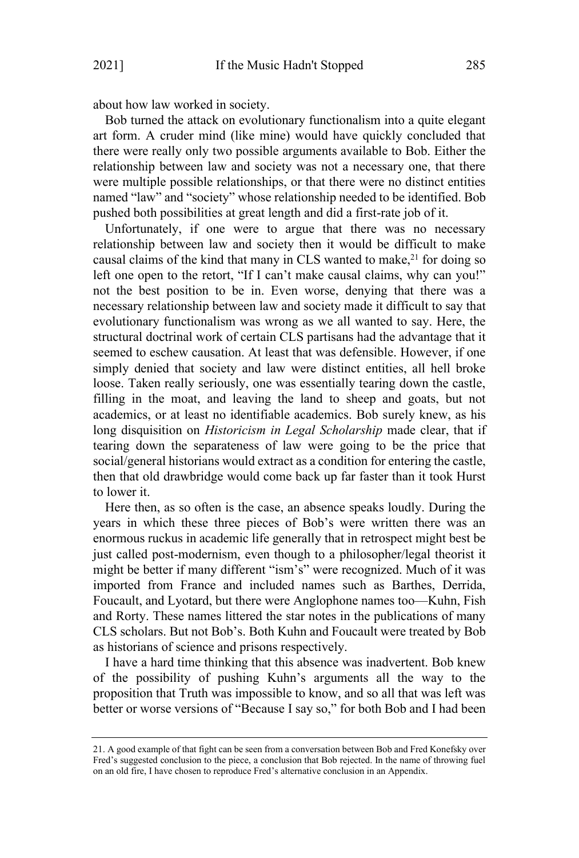about how law worked in society.

Bob turned the attack on evolutionary functionalism into a quite elegant art form. A cruder mind (like mine) would have quickly concluded that there were really only two possible arguments available to Bob. Either the relationship between law and society was not a necessary one, that there were multiple possible relationships, or that there were no distinct entities named "law" and "society" whose relationship needed to be identified. Bob pushed both possibilities at great length and did a first-rate job of it.

Unfortunately, if one were to argue that there was no necessary relationship between law and society then it would be difficult to make causal claims of the kind that many in CLS wanted to make, <sup>21</sup> for doing so left one open to the retort, "If I can't make causal claims, why can you!" not the best position to be in. Even worse, denying that there was a necessary relationship between law and society made it difficult to say that evolutionary functionalism was wrong as we all wanted to say. Here, the structural doctrinal work of certain CLS partisans had the advantage that it seemed to eschew causation. At least that was defensible. However, if one simply denied that society and law were distinct entities, all hell broke loose. Taken really seriously, one was essentially tearing down the castle, filling in the moat, and leaving the land to sheep and goats, but not academics, or at least no identifiable academics. Bob surely knew, as his long disquisition on *Historicism in Legal Scholarship* made clear, that if tearing down the separateness of law were going to be the price that social/general historians would extract as a condition for entering the castle, then that old drawbridge would come back up far faster than it took Hurst to lower it.

Here then, as so often is the case, an absence speaks loudly. During the years in which these three pieces of Bob's were written there was an enormous ruckus in academic life generally that in retrospect might best be just called post-modernism, even though to a philosopher/legal theorist it might be better if many different "ism's" were recognized. Much of it was imported from France and included names such as Barthes, Derrida, Foucault, and Lyotard, but there were Anglophone names too—Kuhn, Fish and Rorty. These names littered the star notes in the publications of many CLS scholars. But not Bob's. Both Kuhn and Foucault were treated by Bob as historians of science and prisons respectively.

I have a hard time thinking that this absence was inadvertent. Bob knew of the possibility of pushing Kuhn's arguments all the way to the proposition that Truth was impossible to know, and so all that was left was better or worse versions of "Because I say so," for both Bob and I had been

<sup>21.</sup> A good example of that fight can be seen from a conversation between Bob and Fred Konefsky over Fred's suggested conclusion to the piece, a conclusion that Bob rejected. In the name of throwing fuel on an old fire, I have chosen to reproduce Fred's alternative conclusion in an Appendix.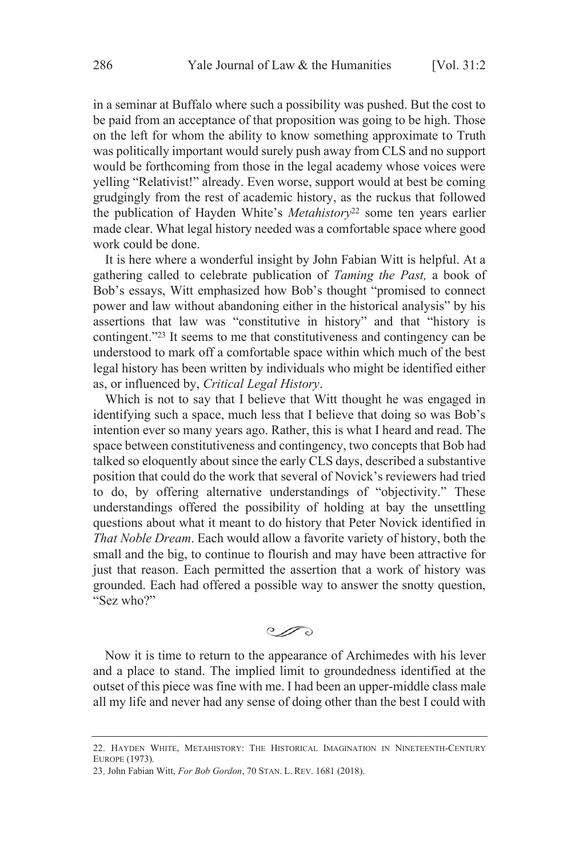in a seminar at Buffalo where such a possibility was pushed. But the cost to be paid from an acceptance of that proposition was going to be high. Those on the left for whom the ability to know something approximate to Truth was politically important would surely push away from CLS and no support would be forthcoming from those in the legal academy whose voices were yelling "Relativist!" already. Even worse, support would at best be coming grudgingly from the rest of academic history, as the ruckus that followed the publication of Hayden White's *Metahistory* <sup>22</sup> some ten years earlier made clear. What legal history needed was a comfortable space where good work could be done.

It is here where a wonderful insight by John Fabian Witt is helpful. At a gathering called to celebrate publication of *Taming the Past,* a book of Bob's essays, Witt emphasized how Bob's thought "promised to connect power and law without abandoning either in the historical analysis" by his assertions that law was "constitutive in history" and that "history is contingent." <sup>23</sup> It seems to me that constitutiveness and contingency can be understood to mark off a comfortable space within which much of the best legal history has been written by individuals who might be identified either as, or influenced by, *Critical Legal History*.

Which is not to say that I believe that Witt thought he was engaged in identifying such a space, much less that I believe that doing so was Bob's intention ever so many years ago. Rather, this is what I heard and read. The space between constitutiveness and contingency, two concepts that Bob had talked so eloquently about since the early CLS days, described a substantive position that could do the work that several of Novick's reviewers had tried to do, by offering alternative understandings of "objectivity." These understandings offered the possibility of holding at bay the unsettling questions about what it meant to do history that Peter Novick identified in *That Noble Dream*. Each would allow a favorite variety of history, both the small and the big, to continue to flourish and may have been attractive for just that reason. Each permitted the assertion that a work of history was grounded. Each had offered a possible way to answer the snotty question, "Sez who?"

 $\mathcal{O}$ 

Now it is time to return to the appearance of Archimedes with his lever and a place to stand. The implied limit to groundedness identified at the outset of this piece was fine with me. I had been an upper-middle class male all my life and never had any sense of doing other than the best I could with

<sup>22.</sup> HAYDEN WHITE, METAHISTORY: THE HISTORICAL IMAGINATION IN NINETEENTH-CENTURY EUROPE (1973).

<sup>23.</sup> John Fabian Witt, *For Bob Gordon*, 70 STAN. L. REV. 1681 (2018).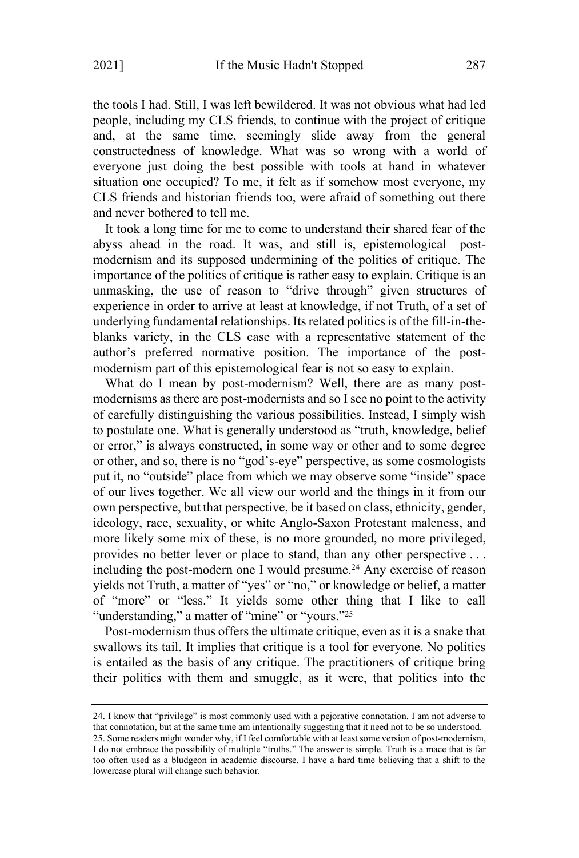the tools I had. Still, I was left bewildered. It was not obvious what had led people, including my CLS friends, to continue with the project of critique and, at the same time, seemingly slide away from the general constructedness of knowledge. What was so wrong with a world of everyone just doing the best possible with tools at hand in whatever situation one occupied? To me, it felt as if somehow most everyone, my CLS friends and historian friends too, were afraid of something out there and never bothered to tell me.

It took a long time for me to come to understand their shared fear of the abyss ahead in the road. It was, and still is, epistemological—postmodernism and its supposed undermining of the politics of critique. The importance of the politics of critique is rather easy to explain. Critique is an unmasking, the use of reason to "drive through" given structures of experience in order to arrive at least at knowledge, if not Truth, of a set of underlying fundamental relationships. Itsrelated politics is of the fill-in-theblanks variety, in the CLS case with a representative statement of the author's preferred normative position. The importance of the postmodernism part of this epistemological fear is not so easy to explain.

What do I mean by post-modernism? Well, there are as many postmodernisms as there are post-modernists and so I see no point to the activity of carefully distinguishing the various possibilities. Instead, I simply wish to postulate one. What is generally understood as "truth, knowledge, belief or error," is always constructed, in some way or other and to some degree or other, and so, there is no "god's-eye" perspective, as some cosmologists put it, no "outside" place from which we may observe some "inside" space of our lives together. We all view our world and the things in it from our own perspective, but that perspective, be it based on class, ethnicity, gender, ideology, race, sexuality, or white Anglo-Saxon Protestant maleness, and more likely some mix of these, is no more grounded, no more privileged, provides no better lever or place to stand, than any other perspective . . . including the post-modern one I would presume.<sup>24</sup> Any exercise of reason yields not Truth, a matter of "yes" or "no," or knowledge or belief, a matter of "more" or "less." It yields some other thing that I like to call "understanding," a matter of "mine" or "yours."<sup>25</sup>

Post-modernism thus offers the ultimate critique, even as it is a snake that swallows its tail. It implies that critique is a tool for everyone. No politics is entailed as the basis of any critique. The practitioners of critique bring their politics with them and smuggle, as it were, that politics into the

<sup>24.</sup> I know that "privilege" is most commonly used with a pejorative connotation. I am not adverse to that connotation, but at the same time am intentionally suggesting that it need not to be so understood. 25. Some readers might wonder why, if I feel comfortable with at least some version of post-modernism, I do not embrace the possibility of multiple "truths." The answer is simple. Truth is a mace that is far too often used as a bludgeon in academic discourse. I have a hard time believing that a shift to the lowercase plural will change such behavior.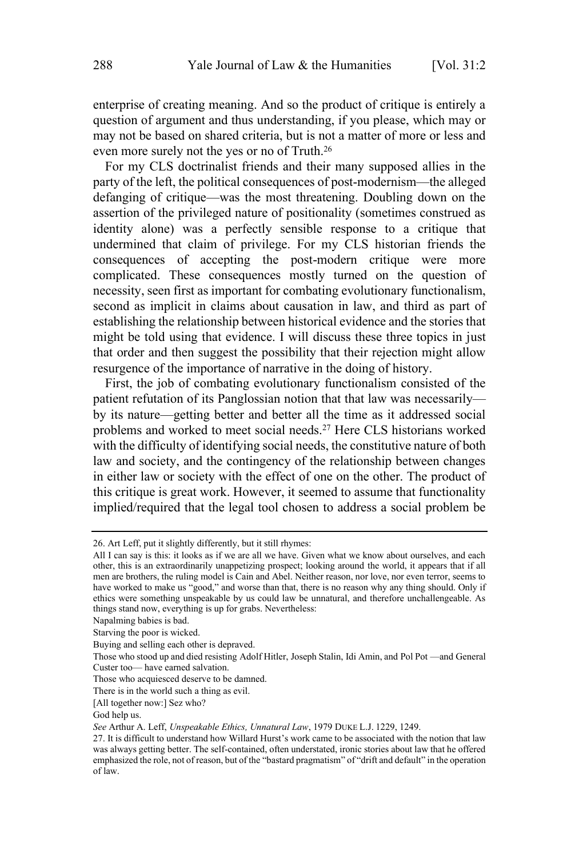enterprise of creating meaning. And so the product of critique is entirely a question of argument and thus understanding, if you please, which may or may not be based on shared criteria, but is not a matter of more or less and even more surely not the yes or no of Truth.<sup>26</sup>

For my CLS doctrinalist friends and their many supposed allies in the party of the left, the political consequences of post-modernism—the alleged defanging of critique—was the most threatening. Doubling down on the assertion of the privileged nature of positionality (sometimes construed as identity alone) was a perfectly sensible response to a critique that undermined that claim of privilege. For my CLS historian friends the consequences of accepting the post-modern critique were more complicated. These consequences mostly turned on the question of necessity, seen first as important for combating evolutionary functionalism, second as implicit in claims about causation in law, and third as part of establishing the relationship between historical evidence and the stories that might be told using that evidence. I will discuss these three topics in just that order and then suggest the possibility that their rejection might allow resurgence of the importance of narrative in the doing of history.

First, the job of combating evolutionary functionalism consisted of the patient refutation of its Panglossian notion that that law was necessarily by its nature—getting better and better all the time as it addressed social problems and worked to meet social needs. <sup>27</sup> Here CLS historians worked with the difficulty of identifying social needs, the constitutive nature of both law and society, and the contingency of the relationship between changes in either law or society with the effect of one on the other. The product of this critique is great work. However, it seemed to assume that functionality implied/required that the legal tool chosen to address a social problem be

Napalming babies is bad.

<sup>26.</sup> Art Leff, put it slightly differently, but it still rhymes:

All I can say is this: it looks as if we are all we have. Given what we know about ourselves, and each other, this is an extraordinarily unappetizing prospect; looking around the world, it appears that if all men are brothers, the ruling model is Cain and Abel. Neither reason, nor love, nor even terror, seems to have worked to make us "good," and worse than that, there is no reason why any thing should. Only if ethics were something unspeakable by us could law be unnatural, and therefore unchallengeable. As things stand now, everything is up for grabs. Nevertheless:

Starving the poor is wicked.

Buying and selling each other is depraved.

Those who stood up and died resisting Adolf Hitler, Joseph Stalin, Idi Amin, and Pol Pot —and General Custer too— have earned salvation.

Those who acquiesced deserve to be damned.

There is in the world such a thing as evil.

<sup>[</sup>All together now:] Sez who?

God help us.

*See* Arthur A. Leff, *Unspeakable Ethics, Unnatural Law*, 1979 DUKE L.J. 1229, 1249.

<sup>27.</sup> It is difficult to understand how Willard Hurst's work came to be associated with the notion that law was always getting better. The self-contained, often understated, ironic stories about law that he offered emphasized the role, not of reason, but of the "bastard pragmatism" of "drift and default" in the operation of law.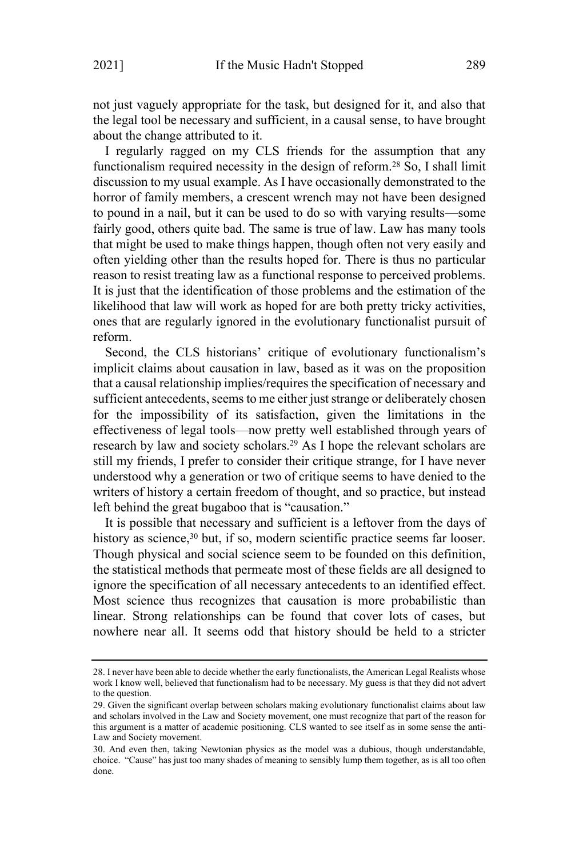not just vaguely appropriate for the task, but designed for it, and also that the legal tool be necessary and sufficient, in a causal sense, to have brought about the change attributed to it.

I regularly ragged on my CLS friends for the assumption that any functionalism required necessity in the design of reform.<sup>28</sup> So, I shall limit discussion to my usual example. As I have occasionally demonstrated to the horror of family members, a crescent wrench may not have been designed to pound in a nail, but it can be used to do so with varying results—some fairly good, others quite bad. The same is true of law. Law has many tools that might be used to make things happen, though often not very easily and often yielding other than the results hoped for. There is thus no particular reason to resist treating law as a functional response to perceived problems. It is just that the identification of those problems and the estimation of the likelihood that law will work as hoped for are both pretty tricky activities, ones that are regularly ignored in the evolutionary functionalist pursuit of reform.

Second, the CLS historians' critique of evolutionary functionalism's implicit claims about causation in law, based as it was on the proposition that a causal relationship implies/requires the specification of necessary and sufficient antecedents, seems to me either just strange or deliberately chosen for the impossibility of its satisfaction, given the limitations in the effectiveness of legal tools—now pretty well established through years of research by law and society scholars.<sup>29</sup> As I hope the relevant scholars are still my friends, I prefer to consider their critique strange, for I have never understood why a generation or two of critique seems to have denied to the writers of history a certain freedom of thought, and so practice, but instead left behind the great bugaboo that is "causation."

It is possible that necessary and sufficient is a leftover from the days of history as science,<sup>30</sup> but, if so, modern scientific practice seems far looser. Though physical and social science seem to be founded on this definition, the statistical methods that permeate most of these fields are all designed to ignore the specification of all necessary antecedents to an identified effect. Most science thus recognizes that causation is more probabilistic than linear. Strong relationships can be found that cover lots of cases, but nowhere near all. It seems odd that history should be held to a stricter

<sup>28.</sup> I never have been able to decide whether the early functionalists, the American Legal Realists whose work I know well, believed that functionalism had to be necessary. My guess is that they did not advert to the question.

<sup>29.</sup> Given the significant overlap between scholars making evolutionary functionalist claims about law and scholars involved in the Law and Society movement, one must recognize that part of the reason for this argument is a matter of academic positioning. CLS wanted to see itself as in some sense the anti-Law and Society movement.

<sup>30.</sup> And even then, taking Newtonian physics as the model was a dubious, though understandable, choice. "Cause" has just too many shades of meaning to sensibly lump them together, as is all too often done.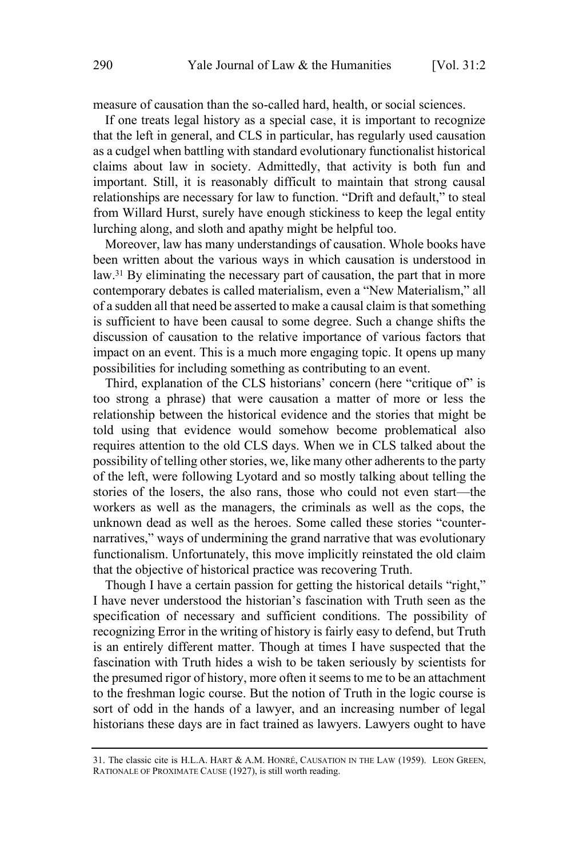measure of causation than the so-called hard, health, or social sciences.

If one treats legal history as a special case, it is important to recognize that the left in general, and CLS in particular, has regularly used causation as a cudgel when battling with standard evolutionary functionalist historical claims about law in society. Admittedly, that activity is both fun and important. Still, it is reasonably difficult to maintain that strong causal relationships are necessary for law to function. "Drift and default," to steal from Willard Hurst, surely have enough stickiness to keep the legal entity lurching along, and sloth and apathy might be helpful too.

Moreover, law has many understandings of causation. Whole books have been written about the various ways in which causation is understood in law.<sup>31</sup> By eliminating the necessary part of causation, the part that in more contemporary debates is called materialism, even a "New Materialism," all of a sudden all that need be asserted to make a causal claim isthat something is sufficient to have been causal to some degree. Such a change shifts the discussion of causation to the relative importance of various factors that impact on an event. This is a much more engaging topic. It opens up many possibilities for including something as contributing to an event.

Third, explanation of the CLS historians' concern (here "critique of" is too strong a phrase) that were causation a matter of more or less the relationship between the historical evidence and the stories that might be told using that evidence would somehow become problematical also requires attention to the old CLS days. When we in CLS talked about the possibility of telling other stories, we, like many other adherents to the party of the left, were following Lyotard and so mostly talking about telling the stories of the losers, the also rans, those who could not even start—the workers as well as the managers, the criminals as well as the cops, the unknown dead as well as the heroes. Some called these stories "counternarratives," ways of undermining the grand narrative that was evolutionary functionalism. Unfortunately, this move implicitly reinstated the old claim that the objective of historical practice was recovering Truth.

Though I have a certain passion for getting the historical details "right," I have never understood the historian's fascination with Truth seen as the specification of necessary and sufficient conditions. The possibility of recognizing Error in the writing of history is fairly easy to defend, but Truth is an entirely different matter. Though at times I have suspected that the fascination with Truth hides a wish to be taken seriously by scientists for the presumed rigor of history, more often it seems to me to be an attachment to the freshman logic course. But the notion of Truth in the logic course is sort of odd in the hands of a lawyer, and an increasing number of legal historians these days are in fact trained as lawyers. Lawyers ought to have

<sup>31.</sup> The classic cite is H.L.A. HART & A.M. HONRÉ, CAUSATION IN THE LAW (1959). LEON GREEN, RATIONALE OF PROXIMATE CAUSE (1927), is still worth reading.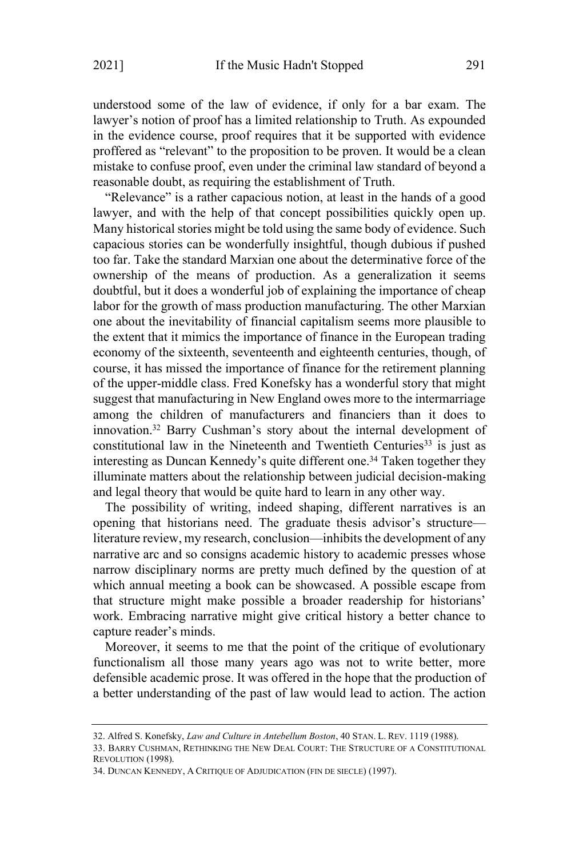understood some of the law of evidence, if only for a bar exam. The lawyer's notion of proof has a limited relationship to Truth. As expounded in the evidence course, proof requires that it be supported with evidence proffered as "relevant" to the proposition to be proven. It would be a clean mistake to confuse proof, even under the criminal law standard of beyond a reasonable doubt, as requiring the establishment of Truth.

"Relevance" is a rather capacious notion, at least in the hands of a good lawyer, and with the help of that concept possibilities quickly open up. Many historical stories might be told using the same body of evidence. Such capacious stories can be wonderfully insightful, though dubious if pushed too far. Take the standard Marxian one about the determinative force of the ownership of the means of production. As a generalization it seems doubtful, but it does a wonderful job of explaining the importance of cheap labor for the growth of mass production manufacturing. The other Marxian one about the inevitability of financial capitalism seems more plausible to the extent that it mimics the importance of finance in the European trading economy of the sixteenth, seventeenth and eighteenth centuries, though, of course, it has missed the importance of finance for the retirement planning of the upper-middle class. Fred Konefsky has a wonderful story that might suggest that manufacturing in New England owes more to the intermarriage among the children of manufacturers and financiers than it does to innovation.<sup>32</sup> Barry Cushman's story about the internal development of constitutional law in the Nineteenth and Twentieth Centuries<sup>33</sup> is just as interesting as Duncan Kennedy's quite different one. <sup>34</sup> Taken together they illuminate matters about the relationship between judicial decision-making and legal theory that would be quite hard to learn in any other way.

The possibility of writing, indeed shaping, different narratives is an opening that historians need. The graduate thesis advisor's structure literature review, my research, conclusion—inhibits the development of any narrative arc and so consigns academic history to academic presses whose narrow disciplinary norms are pretty much defined by the question of at which annual meeting a book can be showcased. A possible escape from that structure might make possible a broader readership for historians' work. Embracing narrative might give critical history a better chance to capture reader's minds.

Moreover, it seems to me that the point of the critique of evolutionary functionalism all those many years ago was not to write better, more defensible academic prose. It was offered in the hope that the production of a better understanding of the past of law would lead to action. The action

<sup>32.</sup> Alfred S. Konefsky, *Law and Culture in Antebellum Boston*, 40 STAN. L. REV. 1119 (1988).

<sup>33.</sup> BARRY CUSHMAN, RETHINKING THE NEW DEAL COURT: THE STRUCTURE OF A CONSTITUTIONAL REVOLUTION (1998).

<sup>34.</sup> DUNCAN KENNEDY, A CRITIQUE OF ADJUDICATION (FIN DE SIECLE) (1997).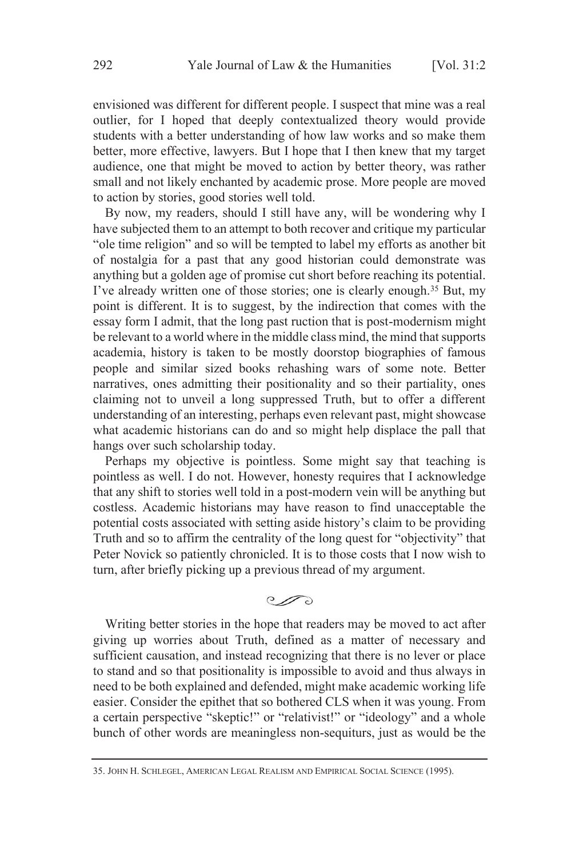envisioned was different for different people. I suspect that mine was a real outlier, for I hoped that deeply contextualized theory would provide students with a better understanding of how law works and so make them better, more effective, lawyers. But I hope that I then knew that my target audience, one that might be moved to action by better theory, was rather small and not likely enchanted by academic prose. More people are moved to action by stories, good stories well told.

By now, my readers, should I still have any, will be wondering why I have subjected them to an attempt to both recover and critique my particular "ole time religion" and so will be tempted to label my efforts as another bit of nostalgia for a past that any good historian could demonstrate was anything but a golden age of promise cut short before reaching its potential. I've already written one of those stories; one is clearly enough.<sup>35</sup> But, my point is different. It is to suggest, by the indirection that comes with the essay form I admit, that the long past ruction that is post-modernism might be relevant to a world where in the middle class mind, the mind that supports academia, history is taken to be mostly doorstop biographies of famous people and similar sized books rehashing wars of some note. Better narratives, ones admitting their positionality and so their partiality, ones claiming not to unveil a long suppressed Truth, but to offer a different understanding of an interesting, perhaps even relevant past, might showcase what academic historians can do and so might help displace the pall that hangs over such scholarship today.

Perhaps my objective is pointless. Some might say that teaching is pointless as well. I do not. However, honesty requires that I acknowledge that any shift to stories well told in a post-modern vein will be anything but costless. Academic historians may have reason to find unacceptable the potential costs associated with setting aside history's claim to be providing Truth and so to affirm the centrality of the long quest for "objectivity" that Peter Novick so patiently chronicled. It is to those costs that I now wish to turn, after briefly picking up a previous thread of my argument.

 $\mathcal{O}$ 

Writing better stories in the hope that readers may be moved to act after giving up worries about Truth, defined as a matter of necessary and sufficient causation, and instead recognizing that there is no lever or place to stand and so that positionality is impossible to avoid and thus always in need to be both explained and defended, might make academic working life easier. Consider the epithet that so bothered CLS when it was young. From a certain perspective "skeptic!" or "relativist!" or "ideology" and a whole bunch of other words are meaningless non-sequiturs, just as would be the

<sup>35.</sup> JOHN H. SCHLEGEL, AMERICAN LEGAL REALISM AND EMPIRICAL SOCIAL SCIENCE (1995).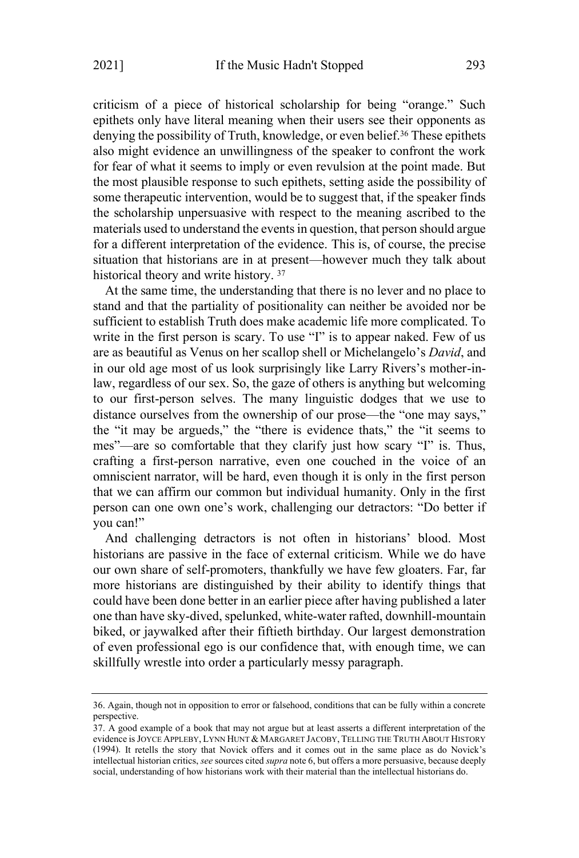criticism of a piece of historical scholarship for being "orange." Such epithets only have literal meaning when their users see their opponents as denying the possibility of Truth, knowledge, or even belief.<sup>36</sup> These epithets also might evidence an unwillingness of the speaker to confront the work for fear of what it seems to imply or even revulsion at the point made. But the most plausible response to such epithets, setting aside the possibility of some therapeutic intervention, would be to suggest that, if the speaker finds the scholarship unpersuasive with respect to the meaning ascribed to the materials used to understand the events in question, that person should argue for a different interpretation of the evidence. This is, of course, the precise situation that historians are in at present—however much they talk about historical theory and write history. <sup>37</sup>

At the same time, the understanding that there is no lever and no place to stand and that the partiality of positionality can neither be avoided nor be sufficient to establish Truth does make academic life more complicated. To write in the first person is scary. To use "I" is to appear naked. Few of us are as beautiful as Venus on her scallop shell or Michelangelo's *David*, and in our old age most of us look surprisingly like Larry Rivers's mother-inlaw, regardless of our sex. So, the gaze of others is anything but welcoming to our first-person selves. The many linguistic dodges that we use to distance ourselves from the ownership of our prose—the "one may says," the "it may be argueds," the "there is evidence thats," the "it seems to mes"—are so comfortable that they clarify just how scary "I" is. Thus, crafting a first-person narrative, even one couched in the voice of an omniscient narrator, will be hard, even though it is only in the first person that we can affirm our common but individual humanity. Only in the first person can one own one's work, challenging our detractors: "Do better if you can!"

And challenging detractors is not often in historians' blood. Most historians are passive in the face of external criticism. While we do have our own share of self-promoters, thankfully we have few gloaters. Far, far more historians are distinguished by their ability to identify things that could have been done better in an earlier piece after having published a later one than have sky-dived, spelunked, white-water rafted, downhill-mountain biked, or jaywalked after their fiftieth birthday. Our largest demonstration of even professional ego is our confidence that, with enough time, we can skillfully wrestle into order a particularly messy paragraph.

<sup>36.</sup> Again, though not in opposition to error or falsehood, conditions that can be fully within a concrete perspective.

<sup>37.</sup> A good example of a book that may not argue but at least asserts a different interpretation of the evidence is JOYCE APPLEBY, LYNN HUNT & MARGARET JACOBY, TELLING THE TRUTH ABOUT HISTORY (1994). It retells the story that Novick offers and it comes out in the same place as do Novick's intellectual historian critics, *see* sources cited *supra* note 6, but offers a more persuasive, because deeply social, understanding of how historians work with their material than the intellectual historians do.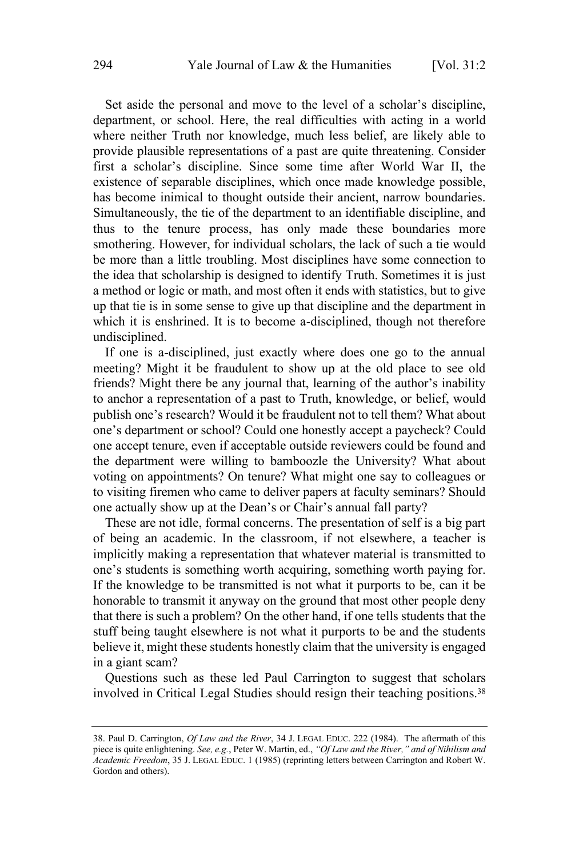Set aside the personal and move to the level of a scholar's discipline, department, or school. Here, the real difficulties with acting in a world where neither Truth nor knowledge, much less belief, are likely able to provide plausible representations of a past are quite threatening. Consider first a scholar's discipline. Since some time after World War II, the existence of separable disciplines, which once made knowledge possible, has become inimical to thought outside their ancient, narrow boundaries. Simultaneously, the tie of the department to an identifiable discipline, and thus to the tenure process, has only made these boundaries more smothering. However, for individual scholars, the lack of such a tie would be more than a little troubling. Most disciplines have some connection to the idea that scholarship is designed to identify Truth. Sometimes it is just a method or logic or math, and most often it ends with statistics, but to give up that tie is in some sense to give up that discipline and the department in which it is enshrined. It is to become a-disciplined, though not therefore undisciplined.

If one is a-disciplined, just exactly where does one go to the annual meeting? Might it be fraudulent to show up at the old place to see old friends? Might there be any journal that, learning of the author's inability to anchor a representation of a past to Truth, knowledge, or belief, would publish one's research? Would it be fraudulent not to tell them? What about one's department or school? Could one honestly accept a paycheck? Could one accept tenure, even if acceptable outside reviewers could be found and the department were willing to bamboozle the University? What about voting on appointments? On tenure? What might one say to colleagues or to visiting firemen who came to deliver papers at faculty seminars? Should one actually show up at the Dean's or Chair's annual fall party?

These are not idle, formal concerns. The presentation of self is a big part of being an academic. In the classroom, if not elsewhere, a teacher is implicitly making a representation that whatever material is transmitted to one's students is something worth acquiring, something worth paying for. If the knowledge to be transmitted is not what it purports to be, can it be honorable to transmit it anyway on the ground that most other people deny that there is such a problem? On the other hand, if one tells students that the stuff being taught elsewhere is not what it purports to be and the students believe it, might these students honestly claim that the university is engaged in a giant scam?

Questions such as these led Paul Carrington to suggest that scholars involved in Critical Legal Studies should resign their teaching positions.<sup>38</sup>

<sup>38.</sup> Paul D. Carrington, *Of Law and the River*, 34 J. LEGAL EDUC. 222 (1984). The aftermath of this piece is quite enlightening. *See, e.g.*, Peter W. Martin, ed., *"Of Law and the River," and of Nihilism and Academic Freedom*, 35 J. LEGAL EDUC. 1 (1985) (reprinting letters between Carrington and Robert W. Gordon and others).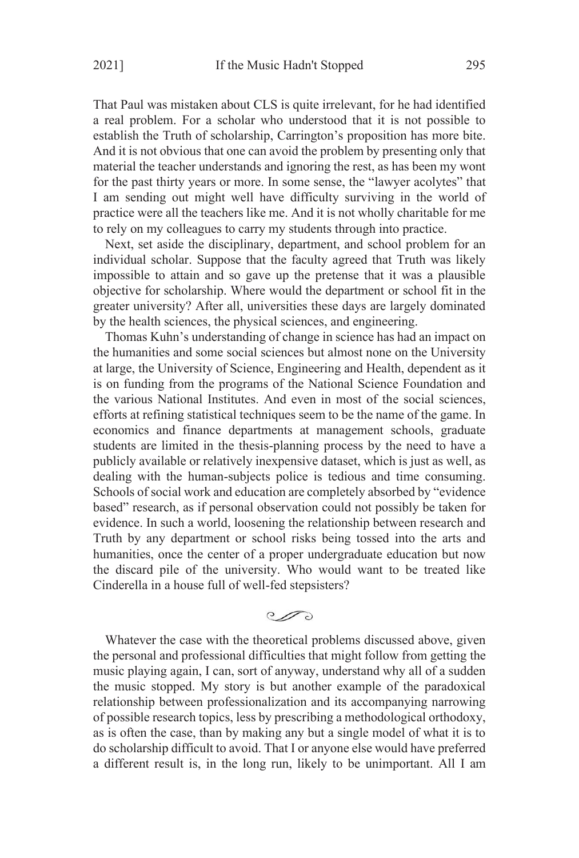That Paul was mistaken about CLS is quite irrelevant, for he had identified a real problem. For a scholar who understood that it is not possible to establish the Truth of scholarship, Carrington's proposition has more bite. And it is not obvious that one can avoid the problem by presenting only that material the teacher understands and ignoring the rest, as has been my wont for the past thirty years or more. In some sense, the "lawyer acolytes" that I am sending out might well have difficulty surviving in the world of practice were all the teachers like me. And it is not wholly charitable for me to rely on my colleagues to carry my students through into practice.

Next, set aside the disciplinary, department, and school problem for an individual scholar. Suppose that the faculty agreed that Truth was likely impossible to attain and so gave up the pretense that it was a plausible objective for scholarship. Where would the department or school fit in the greater university? After all, universities these days are largely dominated by the health sciences, the physical sciences, and engineering.

Thomas Kuhn's understanding of change in science has had an impact on the humanities and some social sciences but almost none on the University at large, the University of Science, Engineering and Health, dependent as it is on funding from the programs of the National Science Foundation and the various National Institutes. And even in most of the social sciences, efforts at refining statistical techniques seem to be the name of the game. In economics and finance departments at management schools, graduate students are limited in the thesis-planning process by the need to have a publicly available or relatively inexpensive dataset, which is just as well, as dealing with the human-subjects police is tedious and time consuming. Schools of social work and education are completely absorbed by "evidence based" research, as if personal observation could not possibly be taken for evidence. In such a world, loosening the relationship between research and Truth by any department or school risks being tossed into the arts and humanities, once the center of a proper undergraduate education but now the discard pile of the university. Who would want to be treated like Cinderella in a house full of well-fed stepsisters?

 $\mathcal{C}$ 

Whatever the case with the theoretical problems discussed above, given the personal and professional difficulties that might follow from getting the music playing again, I can, sort of anyway, understand why all of a sudden the music stopped. My story is but another example of the paradoxical relationship between professionalization and its accompanying narrowing of possible research topics, less by prescribing a methodological orthodoxy, as is often the case, than by making any but a single model of what it is to do scholarship difficult to avoid. That I or anyone else would have preferred a different result is, in the long run, likely to be unimportant. All I am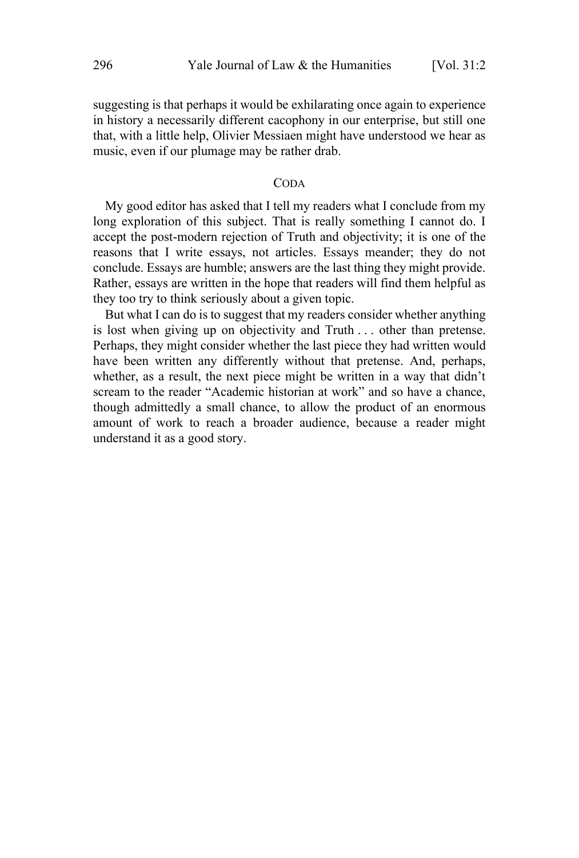suggesting is that perhaps it would be exhilarating once again to experience in history a necessarily different cacophony in our enterprise, but still one that, with a little help, Olivier Messiaen might have understood we hear as music, even if our plumage may be rather drab.

#### CODA

My good editor has asked that I tell my readers what I conclude from my long exploration of this subject. That is really something I cannot do. I accept the post-modern rejection of Truth and objectivity; it is one of the reasons that I write essays, not articles. Essays meander; they do not conclude. Essays are humble; answers are the last thing they might provide. Rather, essays are written in the hope that readers will find them helpful as they too try to think seriously about a given topic.

But what I can do is to suggest that my readers consider whether anything is lost when giving up on objectivity and Truth . . . other than pretense. Perhaps, they might consider whether the last piece they had written would have been written any differently without that pretense. And, perhaps, whether, as a result, the next piece might be written in a way that didn't scream to the reader "Academic historian at work" and so have a chance, though admittedly a small chance, to allow the product of an enormous amount of work to reach a broader audience, because a reader might understand it as a good story.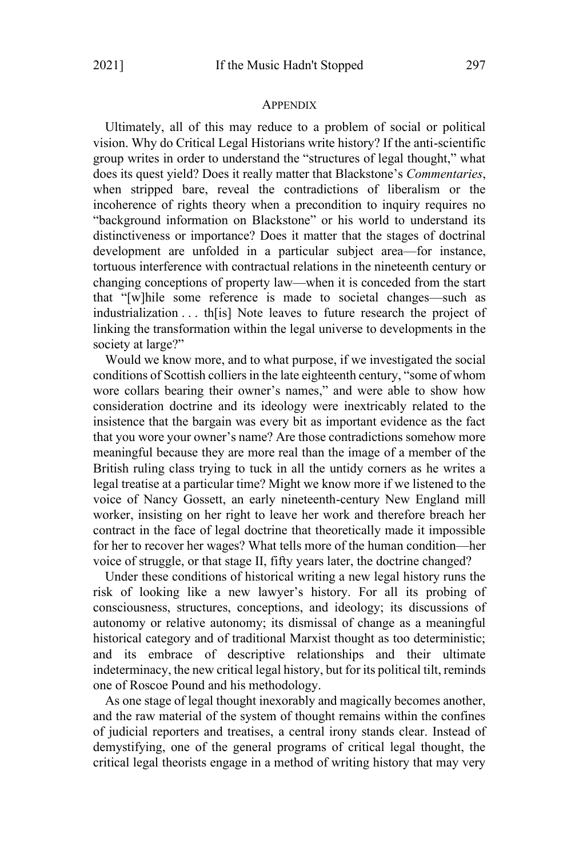#### APPENDIX

Ultimately, all of this may reduce to a problem of social or political vision. Why do Critical Legal Historians write history? If the anti-scientific group writes in order to understand the "structures of legal thought," what does its quest yield? Does it really matter that Blackstone's *Commentaries*, when stripped bare, reveal the contradictions of liberalism or the incoherence of rights theory when a precondition to inquiry requires no "background information on Blackstone" or his world to understand its distinctiveness or importance? Does it matter that the stages of doctrinal development are unfolded in a particular subject area—for instance, tortuous interference with contractual relations in the nineteenth century or changing conceptions of property law—when it is conceded from the start that "[w]hile some reference is made to societal changes—such as industrialization . . . th[is] Note leaves to future research the project of linking the transformation within the legal universe to developments in the society at large?"

Would we know more, and to what purpose, if we investigated the social conditions of Scottish colliers in the late eighteenth century, "some of whom wore collars bearing their owner's names," and were able to show how consideration doctrine and its ideology were inextricably related to the insistence that the bargain was every bit as important evidence as the fact that you wore your owner's name? Are those contradictions somehow more meaningful because they are more real than the image of a member of the British ruling class trying to tuck in all the untidy corners as he writes a legal treatise at a particular time? Might we know more if we listened to the voice of Nancy Gossett, an early nineteenth-century New England mill worker, insisting on her right to leave her work and therefore breach her contract in the face of legal doctrine that theoretically made it impossible for her to recover her wages? What tells more of the human condition—her voice of struggle, or that stage II, fifty years later, the doctrine changed?

Under these conditions of historical writing a new legal history runs the risk of looking like a new lawyer's history. For all its probing of consciousness, structures, conceptions, and ideology; its discussions of autonomy or relative autonomy; its dismissal of change as a meaningful historical category and of traditional Marxist thought as too deterministic; and its embrace of descriptive relationships and their ultimate indeterminacy, the new critical legal history, but for its political tilt, reminds one of Roscoe Pound and his methodology.

As one stage of legal thought inexorably and magically becomes another, and the raw material of the system of thought remains within the confines of judicial reporters and treatises, a central irony stands clear. Instead of demystifying, one of the general programs of critical legal thought, the critical legal theorists engage in a method of writing history that may very